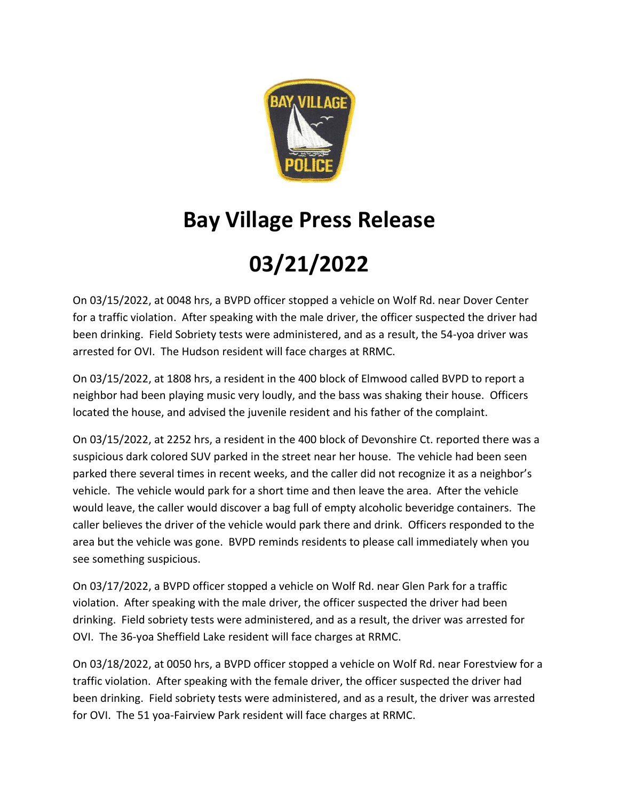

## **Bay Village Press Release**

## **03/21/2022**

On 03/15/2022, at 0048 hrs, a BVPD officer stopped a vehicle on Wolf Rd. near Dover Center for a traffic violation. After speaking with the male driver, the officer suspected the driver had been drinking. Field Sobriety tests were administered, and as a result, the 54-yoa driver was arrested for OVI. The Hudson resident will face charges at RRMC.

On 03/15/2022, at 1808 hrs, a resident in the 400 block of Elmwood called BVPD to report a neighbor had been playing music very loudly, and the bass was shaking their house. Officers located the house, and advised the juvenile resident and his father of the complaint.

On 03/15/2022, at 2252 hrs, a resident in the 400 block of Devonshire Ct. reported there was a suspicious dark colored SUV parked in the street near her house. The vehicle had been seen parked there several times in recent weeks, and the caller did not recognize it as a neighbor's vehicle. The vehicle would park for a short time and then leave the area. After the vehicle would leave, the caller would discover a bag full of empty alcoholic beveridge containers. The caller believes the driver of the vehicle would park there and drink. Officers responded to the area but the vehicle was gone. BVPD reminds residents to please call immediately when you see something suspicious.

On 03/17/2022, a BVPD officer stopped a vehicle on Wolf Rd. near Glen Park for a traffic violation. After speaking with the male driver, the officer suspected the driver had been drinking. Field sobriety tests were administered, and as a result, the driver was arrested for OVI. The 36-yoa Sheffield Lake resident will face charges at RRMC.

On 03/18/2022, at 0050 hrs, a BVPD officer stopped a vehicle on Wolf Rd. near Forestview for a traffic violation. After speaking with the female driver, the officer suspected the driver had been drinking. Field sobriety tests were administered, and as a result, the driver was arrested for OVI. The 51 yoa-Fairview Park resident will face charges at RRMC.